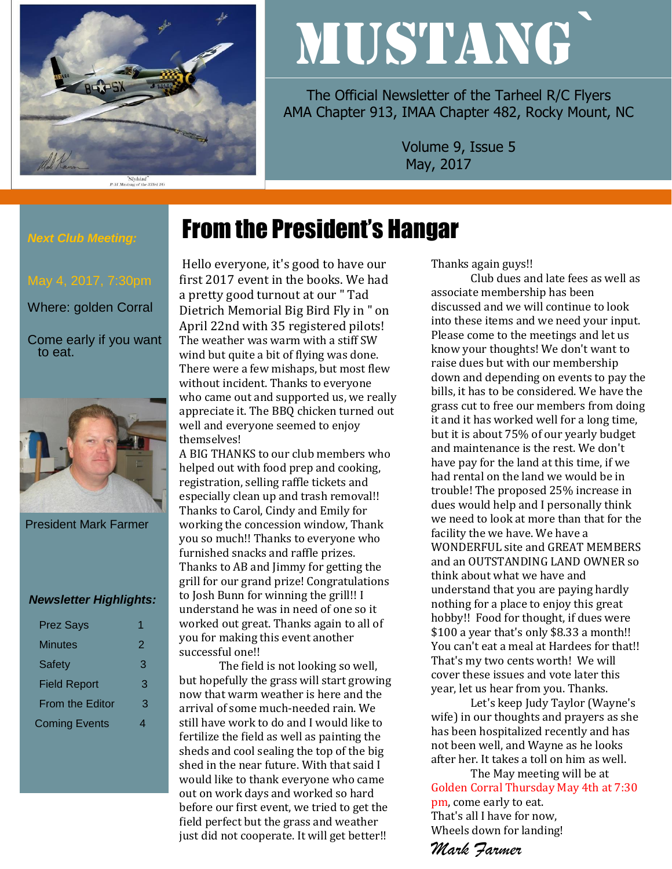

# MUSTANG`

The Official Newsletter of the Tarheel R/C Flyers AMA Chapter 913, IMAA Chapter 482, Rocky Mount, NC

> Volume 9, Issue 5 May, 2017

# *Next Club Meeting:*

Where: golden Corral

Come early if you want to eat.



President Mark Farmer

### *Newsletter Highlights:*

| <b>Prez Says</b>     |   |
|----------------------|---|
| Minutes              | 2 |
| Safety               | 3 |
| <b>Field Report</b>  | 3 |
| From the Editor      | З |
| <b>Coming Events</b> |   |

Hello everyone, it's good to have our first 2017 event in the books. We had a pretty good turnout at our " Tad Dietrich Memorial Big Bird Fly in " on April 22nd with 35 registered pilots! The weather was warm with a stiff SW wind but quite a bit of flying was done. There were a few mishaps, but most flew without incident. Thanks to everyone who came out and supported us, we really appreciate it. The BBQ chicken turned out well and everyone seemed to enjoy themselves!

From the President's Hangar

A BIG THANKS to our club members who helped out with food prep and cooking, registration, selling raffle tickets and especially clean up and trash removal!! Thanks to Carol, Cindy and Emily for working the concession window, Thank you so much!! Thanks to everyone who furnished snacks and raffle prizes. Thanks to AB and Jimmy for getting the grill for our grand prize! Congratulations to Josh Bunn for winning the grill!! I understand he was in need of one so it worked out great. Thanks again to all of you for making this event another successful one!!

The field is not looking so well, but hopefully the grass will start growing now that warm weather is here and the arrival of some much-needed rain. We still have work to do and I would like to fertilize the field as well as painting the sheds and cool sealing the top of the big shed in the near future. With that said I would like to thank everyone who came out on work days and worked so hard before our first event, we tried to get the field perfect but the grass and weather just did not cooperate. It will get better!!

Thanks again guys!!

Club dues and late fees as well as associate membership has been discussed and we will continue to look into these items and we need your input. Please come to the meetings and let us know your thoughts! We don't want to raise dues but with our membership down and depending on events to pay the bills, it has to be considered. We have the grass cut to free our members from doing it and it has worked well for a long time, but it is about 75% of our yearly budget and maintenance is the rest. We don't have pay for the land at this time, if we had rental on the land we would be in trouble! The proposed 25% increase in dues would help and I personally think we need to look at more than that for the facility the we have. We have a WONDERFUL site and GREAT MEMBERS and an OUTSTANDING LAND OWNER so think about what we have and understand that you are paying hardly nothing for a place to enjoy this great hobby!! Food for thought, if dues were \$100 a year that's only \$8.33 a month!! You can't eat a meal at Hardees for that!! That's my two cents worth! We will cover these issues and vote later this year, let us hear from you. Thanks.

Let's keep Judy Taylor (Wayne's wife) in our thoughts and prayers as she has been hospitalized recently and has not been well, and Wayne as he looks after her. It takes a toll on him as well.

The May meeting will be at Golden Corral Thursday May 4th at 7:30 pm, come early to eat. That's all I have for now, Wheels down for landing!

*Mark Farmer*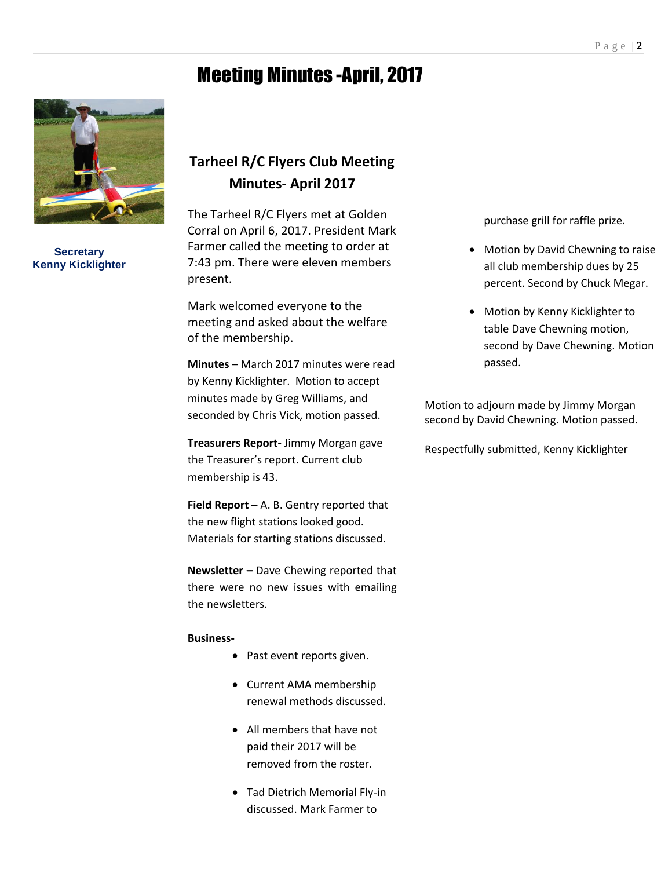# Meeting Minutes -April, 2017



**Secretary Kenny Kicklighter**

## **Tarheel R/C Flyers Club Meeting Minutes- April 2017**

The Tarheel R/C Flyers met at Golden Corral on April 6, 2017. President Mark Farmer called the meeting to order at 7:43 pm. There were eleven members present.

Mark welcomed everyone to the meeting and asked about the welfare of the membership.

**Minutes –** March 2017 minutes were read by Kenny Kicklighter. Motion to accept minutes made by Greg Williams, and seconded by Chris Vick, motion passed.

**Treasurers Report-** Jimmy Morgan gave the Treasurer's report. Current club membership is 43.

**Field Report –** A. B. Gentry reported that the new flight stations looked good. Materials for starting stations discussed.

**Newsletter –** Dave Chewing reported that there were no new issues with emailing the newsletters.

#### **Business-**

- Past event reports given.
- Current AMA membership renewal methods discussed.
- All members that have not paid their 2017 will be removed from the roster.
- Tad Dietrich Memorial Fly-in discussed. Mark Farmer to

purchase grill for raffle prize.

- Motion by David Chewning to raise all club membership dues by 25 percent. Second by Chuck Megar.
- Motion by Kenny Kicklighter to table Dave Chewning motion, second by Dave Chewning. Motion passed.

Motion to adjourn made by Jimmy Morgan second by David Chewning. Motion passed.

Respectfully submitted, Kenny Kicklighter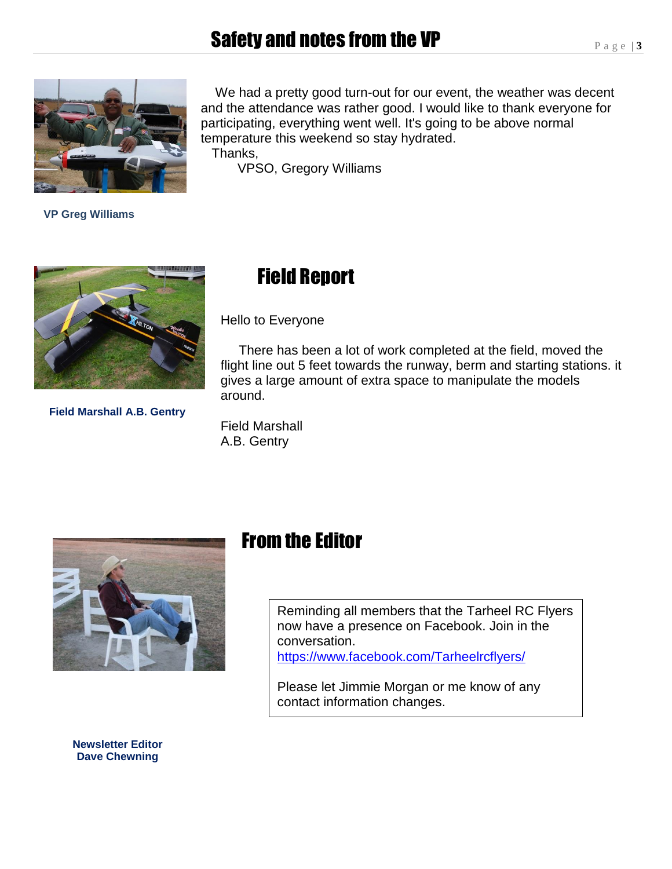# Safety and notes from the VP



 **VP Greg Williams**

 We had a pretty good turn-out for our event, the weather was decent and the attendance was rather good. I would like to thank everyone for participating, everything went well. It's going to be above normal temperature this weekend so stay hydrated.

Thanks,

VPSO, Gregory Williams



**Field Marshall A.B. Gentry**

# Field Report

Hello to Everyone

 There has been a lot of work completed at the field, moved the flight line out 5 feet towards the runway, berm and starting stations. it gives a large amount of extra space to manipulate the models around.

Field Marshall A.B. Gentry



## From the Editor

Reminding all members that the Tarheel RC Flyers now have a presence on Facebook. Join in the conversation. <https://www.facebook.com/Tarheelrcflyers/>

Please let Jimmie Morgan or me know of any contact information changes.

**Newsletter Editor Dave Chewning**